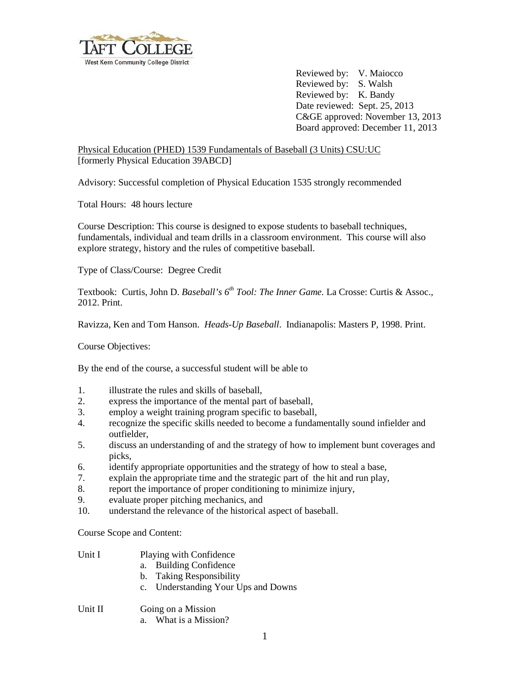

Reviewed by: V. Maiocco Reviewed by: S. Walsh Reviewed by: K. Bandy Date reviewed: Sept. 25, 2013 C&GE approved: November 13, 2013 Board approved: December 11, 2013

Physical Education (PHED) 1539 Fundamentals of Baseball (3 Units) CSU:UC [formerly Physical Education 39ABCD]

Advisory: Successful completion of Physical Education 1535 strongly recommended

Total Hours: 48 hours lecture

Course Description: This course is designed to expose students to baseball techniques, fundamentals, individual and team drills in a classroom environment. This course will also explore strategy, history and the rules of competitive baseball.

Type of Class/Course: Degree Credit

Textbook: Curtis, John D. *Baseball's 6<sup>th</sup> Tool: The Inner Game*. La Crosse: Curtis & Assoc., 2012. Print.

Ravizza, Ken and Tom Hanson. *Heads-Up Baseball*. Indianapolis: Masters P, 1998. Print.

Course Objectives:

By the end of the course, a successful student will be able to

- 1. illustrate the rules and skills of baseball,<br>2. express the importance of the mental par-
- express the importance of the mental part of baseball,
- 3. employ a weight training program specific to baseball,
- 4. recognize the specific skills needed to become a fundamentally sound infielder and outfielder,
- 5. discuss an understanding of and the strategy of how to implement bunt coverages and picks,
- 6. identify appropriate opportunities and the strategy of how to steal a base,
- 7. explain the appropriate time and the strategic part of the hit and run play,
- 8. report the importance of proper conditioning to minimize injury,
- 9. evaluate proper pitching mechanics, and
- 10. understand the relevance of the historical aspect of baseball.

Course Scope and Content:

- Unit I Playing with Confidence
	- a. Building Confidence
	- b. Taking Responsibility
	- c. Understanding Your Ups and Downs
- Unit II Going on a Mission
	- a. What is a Mission?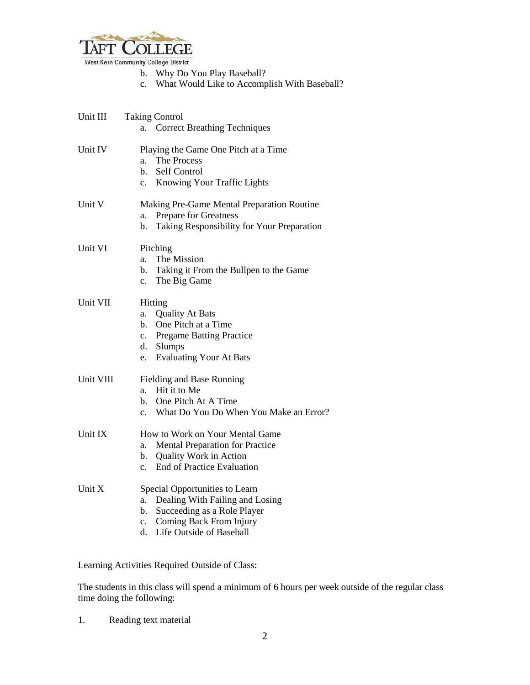

West Kern Community College District

- b. Why Do You Play Baseball?
- c. What Would Like to Accomplish With Baseball?

| Unit III  | <b>Taking Control</b><br><b>Correct Breathing Techniques</b><br>а.                                                                                                                 |
|-----------|------------------------------------------------------------------------------------------------------------------------------------------------------------------------------------|
| Unit IV   | Playing the Game One Pitch at a Time<br>The Process<br>a.<br>Self Control<br>b.<br>Knowing Your Traffic Lights<br>$c_{\cdot}$                                                      |
| Unit V    | Making Pre-Game Mental Preparation Routine<br><b>Prepare for Greatness</b><br>a.<br>Taking Responsibility for Your Preparation<br>b.                                               |
| Unit VI   | Pitching<br>The Mission<br>a.<br>Taking it From the Bullpen to the Game<br>b.<br>The Big Game<br>$\mathbf{c}$ .                                                                    |
| Unit VII  | Hitting<br><b>Quality At Bats</b><br>a.<br>One Pitch at a Time<br>b.<br>c. Pregame Batting Practice<br>d. Slumps<br><b>Evaluating Your At Bats</b><br>e.                           |
| Unit VIII | Fielding and Base Running<br>Hit it to Me<br>a.<br>One Pitch At A Time<br>$h_{-}$<br>What Do You Do When You Make an Error?<br>$\mathbf{c}$ .                                      |
| Unit IX   | How to Work on Your Mental Game<br>Mental Preparation for Practice<br>a.<br><b>Quality Work in Action</b><br>$\mathbf{b}$ .<br><b>End of Practice Evaluation</b><br>$\mathbf{c}$ . |
| Unit X    | Special Opportunities to Learn<br>Dealing With Failing and Losing<br>a.<br>Succeeding as a Role Player<br>b.<br>Coming Back From Injury<br>c.<br>Life Outside of Baseball<br>d.    |

Learning Activities Required Outside of Class:

The students in this class will spend a minimum of 6 hours per week outside of the regular class time doing the following:

1. Reading text material